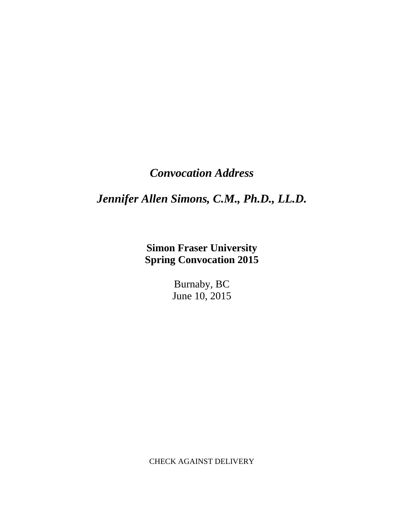## *Convocation Address*

## *Jennifer Allen Simons, C.M., Ph.D., LL.D.*

**Simon Fraser University Spring Convocation 2015**

> Burnaby, BC June 10, 2015

CHECK AGAINST DELIVERY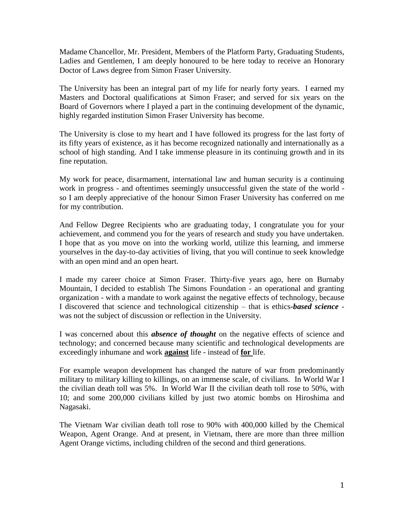Madame Chancellor, Mr. President, Members of the Platform Party, Graduating Students, Ladies and Gentlemen, I am deeply honoured to be here today to receive an Honorary Doctor of Laws degree from Simon Fraser University.

The University has been an integral part of my life for nearly forty years. I earned my Masters and Doctoral qualifications at Simon Fraser; and served for six years on the Board of Governors where I played a part in the continuing development of the dynamic, highly regarded institution Simon Fraser University has become.

The University is close to my heart and I have followed its progress for the last forty of its fifty years of existence, as it has become recognized nationally and internationally as a school of high standing. And I take immense pleasure in its continuing growth and in its fine reputation.

My work for peace, disarmament, international law and human security is a continuing work in progress - and oftentimes seemingly unsuccessful given the state of the world so I am deeply appreciative of the honour Simon Fraser University has conferred on me for my contribution.

And Fellow Degree Recipients who are graduating today, I congratulate you for your achievement, and commend you for the years of research and study you have undertaken. I hope that as you move on into the working world, utilize this learning, and immerse yourselves in the day-to-day activities of living, that you will continue to seek knowledge with an open mind and an open heart.

I made my career choice at Simon Fraser. Thirty-five years ago, here on Burnaby Mountain, I decided to establish The Simons Foundation - an operational and granting organization - with a mandate to work against the negative effects of technology, because I discovered that science and technological citizenship – that is ethics*-based science* was not the subject of discussion or reflection in the University.

I was concerned about this *absence of thought* on the negative effects of science and technology; and concerned because many scientific and technological developments are exceedingly inhumane and work **against** life - instead of **for** life.

For example weapon development has changed the nature of war from predominantly military to military killing to killings, on an immense scale, of civilians. In World War I the civilian death toll was 5%. In World War II the civilian death toll rose to 50%, with 10; and some 200,000 civilians killed by just two atomic bombs on Hiroshima and Nagasaki.

The Vietnam War civilian death toll rose to 90% with 400,000 killed by the Chemical Weapon, Agent Orange. And at present, in Vietnam, there are more than three million Agent Orange victims, including children of the second and third generations.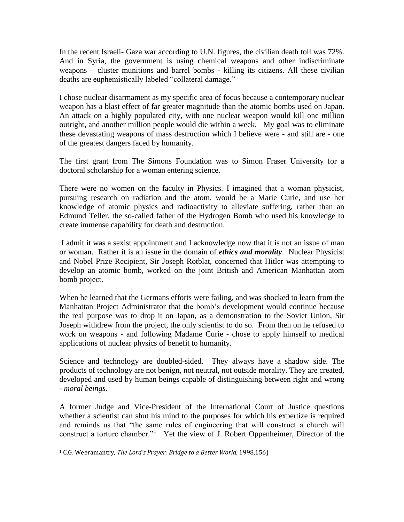In the recent Israeli- Gaza war according to U.N. figures, the civilian death toll was 72%. And in Syria, the government is using chemical weapons and other indiscriminate weapons – cluster munitions and barrel bombs - killing its citizens. All these civilian deaths are euphemistically labeled "collateral damage."

I chose nuclear disarmament as my specific area of focus because a contemporary nuclear weapon has a blast effect of far greater magnitude than the atomic bombs used on Japan. An attack on a highly populated city, with one nuclear weapon would kill one million outright, and another million people would die within a week. My goal was to eliminate these devastating weapons of mass destruction which I believe were - and still are - one of the greatest dangers faced by humanity.

The first grant from The Simons Foundation was to Simon Fraser University for a doctoral scholarship for a woman entering science.

There were no women on the faculty in Physics. I imagined that a woman physicist, pursuing research on radiation and the atom, would be a Marie Curie, and use her knowledge of atomic physics and radioactivity to alleviate suffering, rather than an Edmund Teller, the so-called father of the Hydrogen Bomb who used his knowledge to create immense capability for death and destruction.

I admit it was a sexist appointment and I acknowledge now that it is not an issue of man or woman. Rather it is an issue in the domain of *ethics and morality*. Nuclear Physicist and Nobel Prize Recipient, Sir Joseph Rotblat, concerned that Hitler was attempting to develop an atomic bomb, worked on the joint British and American Manhattan atom bomb project.

When he learned that the Germans efforts were failing, and was shocked to learn from the Manhattan Project Administrator that the bomb's development would continue because the real purpose was to drop it on Japan, as a demonstration to the Soviet Union, Sir Joseph withdrew from the project, the only scientist to do so. From then on he refused to work on weapons - and following Madame Curie - chose to apply himself to medical applications of nuclear physics of benefit to humanity.

Science and technology are doubled-sided. They always have a shadow side. The products of technology are not benign, not neutral, not outside morality. They are created, developed and used by human beings capable of distinguishing between right and wrong - *moral beings*.

A former Judge and Vice-President of the International Court of Justice questions whether a scientist can shut his mind to the purposes for which his expertize is required and reminds us that "the same rules of engineering that will construct a church will construct a torture chamber."<sup>1</sup> Yet the view of J. Robert Oppenheimer, Director of the

 $\overline{a}$ 

<sup>1</sup> C.G. Weeramantry, *The Lord's Prayer: Bridge to a Better World*, 1998,156)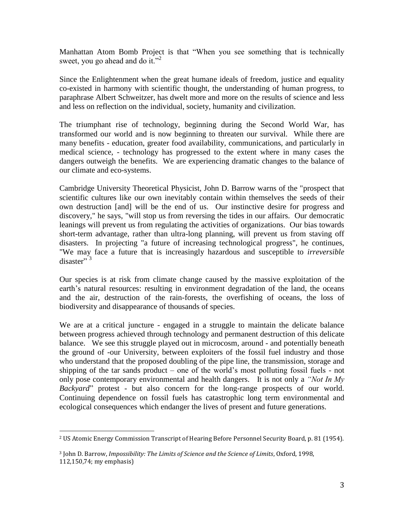Manhattan Atom Bomb Project is that "When you see something that is technically sweet, you go ahead and do it."<sup>2</sup>

Since the Enlightenment when the great humane ideals of freedom, justice and equality co-existed in harmony with scientific thought, the understanding of human progress, to paraphrase Albert Schweitzer, has dwelt more and more on the results of science and less and less on reflection on the individual, society, humanity and civilization.

The triumphant rise of technology, beginning during the Second World War, has transformed our world and is now beginning to threaten our survival. While there are many benefits - education, greater food availability, communications, and particularly in medical science, - technology has progressed to the extent where in many cases the dangers outweigh the benefits. We are experiencing dramatic changes to the balance of our climate and eco-systems.

Cambridge University Theoretical Physicist, John D. Barrow warns of the "prospect that scientific cultures like our own inevitably contain within themselves the seeds of their own destruction [and] will be the end of us. Our instinctive desire for progress and discovery," he says, "will stop us from reversing the tides in our affairs. Our democratic leanings will prevent us from regulating the activities of organizations. Our bias towards short-term advantage, rather than ultra-long planning, will prevent us from staving off disasters. In projecting "a future of increasing technological progress", he continues, "We may face a future that is increasingly hazardous and susceptible to *irreversible* disaster"<sup>3</sup>

Our species is at risk from climate change caused by the massive exploitation of the earth's natural resources: resulting in environment degradation of the land, the oceans and the air, destruction of the rain-forests, the overfishing of oceans, the loss of biodiversity and disappearance of thousands of species.

We are at a critical juncture - engaged in a struggle to maintain the delicate balance between progress achieved through technology and permanent destruction of this delicate balance. We see this struggle played out in microcosm, around - and potentially beneath the ground of -our University, between exploiters of the fossil fuel industry and those who understand that the proposed doubling of the pipe line, the transmission, storage and shipping of the tar sands product – one of the world's most polluting fossil fuels - not only pose contemporary environmental and health dangers. It is not only a *"Not In My Backyard*" protest - but also concern for the long-range prospects of our world. Continuing dependence on fossil fuels has catastrophic long term environmental and ecological consequences which endanger the lives of present and future generations.

 $\overline{a}$ <sup>2</sup> US Atomic Energy Commission Transcript of Hearing Before Personnel Security Board, p. 81 (1954).

<sup>3</sup> John D. Barrow, *Impossibility: The Limits of Science and the Science of Limits*, Oxford, 1998, 112,150,74; my emphasis)